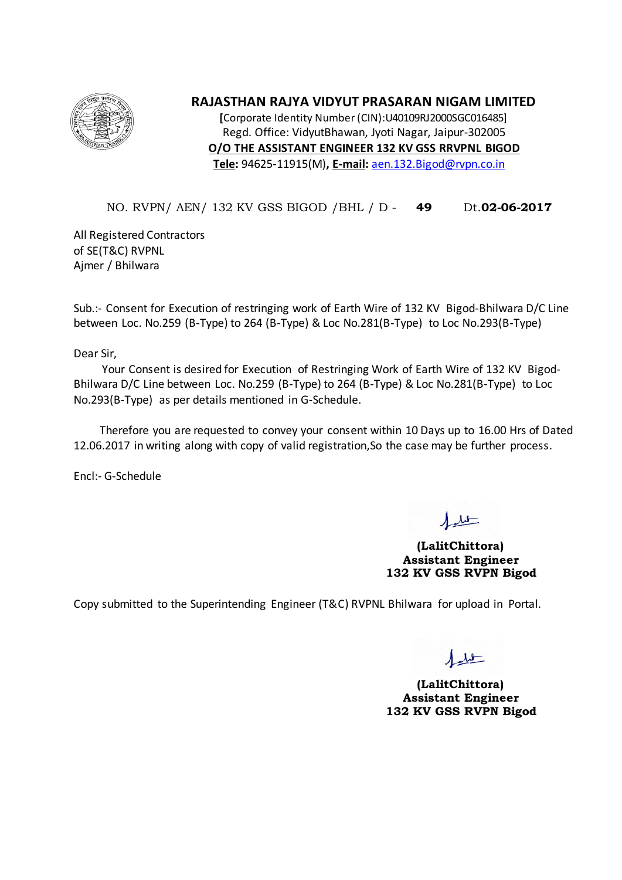

## **RAJASTHAN RAJYA VIDYUT PRASARAN NIGAM LIMITED**

**[**Corporate Identity Number (CIN):U40109RJ2000SGC016485] Regd. Office: VidyutBhawan, Jyoti Nagar, Jaipur-302005 **O/O THE ASSISTANT ENGINEER 132 KV GSS RRVPNL BIGOD Tele:** 94625-11915(M)**, E-mail:** [aen.132.Bigod@rvpn.co.in](mailto:aen.132.bijoliya@rvpn.co.in)

## NO. RVPN/ AEN/ 132 KV GSS BIGOD /BHL / D - **49** Dt.**02-06-2017**

All Registered Contractors of SE(T&C) RVPNL Ajmer / Bhilwara

Sub.:- Consent for Execution of restringing work of Earth Wire of 132 KV Bigod-Bhilwara D/C Line between Loc. No.259 (B-Type) to 264 (B-Type) & Loc No.281(B-Type) to Loc No.293(B-Type)

Dear Sir,

 Your Consent is desired for Execution of Restringing Work of Earth Wire of 132 KV Bigod-Bhilwara D/C Line between Loc. No.259 (B-Type) to 264 (B-Type) & Loc No.281(B-Type) to Loc No.293(B-Type) as per details mentioned in G-Schedule.

 Therefore you are requested to convey your consent within 10 Days up to 16.00 Hrs of Dated 12.06.2017 in writing along with copy of valid registration,So the case may be further process.

Encl:- G-Schedule

**(LalitChittora) Assistant Engineer 132 KV GSS RVPN Bigod**

Copy submitted to the Superintending Engineer (T&C) RVPNL Bhilwara for upload in Portal.

**(LalitChittora) Assistant Engineer 132 KV GSS RVPN Bigod**